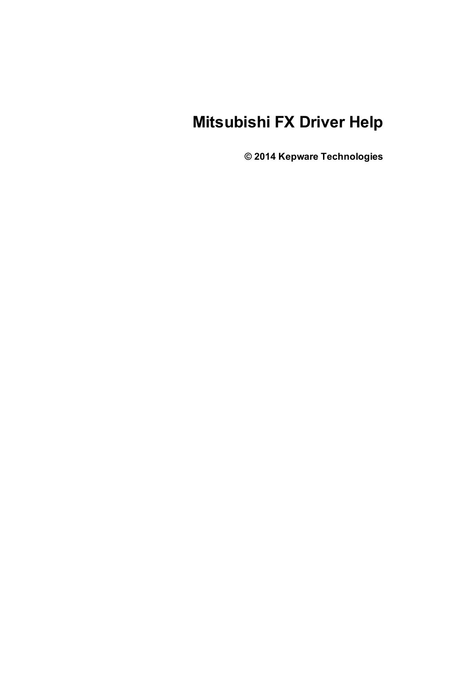# **Mitsubishi FX Driver Help**

**© 2014 Kepware Technologies**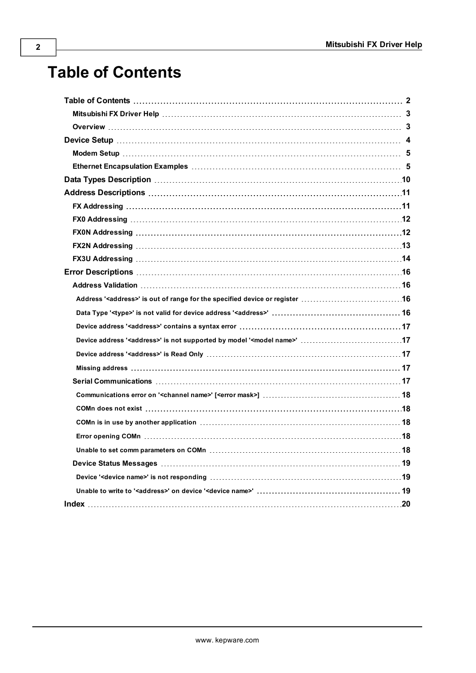# <span id="page-1-0"></span>**Table of Contents**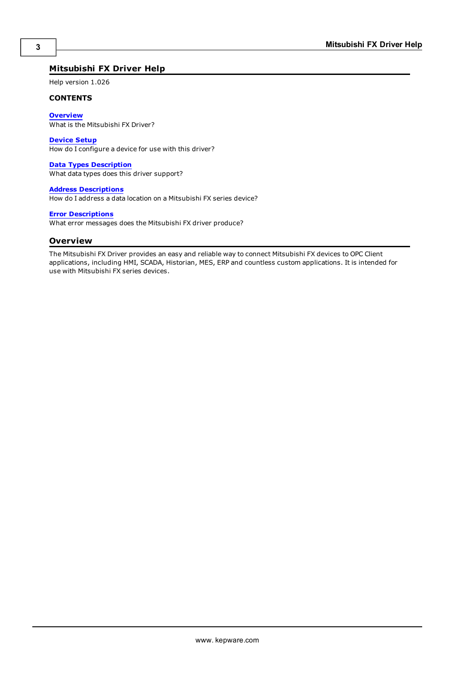### <span id="page-2-0"></span>**Mitsubishi FX Driver Help**

Help version 1.026

#### **CONTENTS**

**[Overview](#page-2-1)**

What is the Mitsubishi FX Driver?

#### **[Device](#page-3-0) Setup**

How do I configure a device for use with this driver?

#### **Data Types [Description](#page-9-0)**

What data types does this driver support?

#### **Address [Descriptions](#page-10-0)**

How do I address a data location on a Mitsubishi FX series device?

#### **Error [Descriptions](#page-15-0)**

<span id="page-2-1"></span>What error messages does the Mitsubishi FX driver produce?

#### **Overview**

The Mitsubishi FX Driver provides an easy and reliable way to connect Mitsubishi FX devices to OPC Client applications, including HMI, SCADA, Historian, MES, ERP and countless custom applications. It is intended for use with Mitsubishi FX series devices.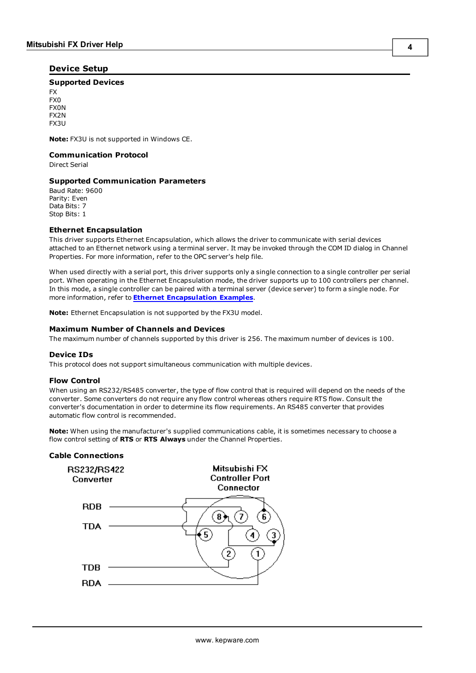#### <span id="page-3-0"></span>**Device Setup**

#### **Supported Devices**

FX FX0 FX0N FX2N FX3U

**Note:** FX3U is not supported in Windows CE.

#### **Communication Protocol**

Direct Serial

#### **Supported Communication Parameters**

Baud Rate: 9600 Parity: Even Data Bits: 7 Stop Bits: 1

#### <span id="page-3-3"></span><span id="page-3-2"></span>**Ethernet Encapsulation**

This driver supports Ethernet Encapsulation, which allows the driver to communicate with serial devices attached to an Ethernet network using a terminal server. It may be invoked through the COM ID dialog in Channel Properties. For more information, refer to the OPC server's help file.

When used directly with a serial port, this driver supports only a single connection to a single controller per serial port. When operating in the Ethernet Encapsulation mode, the driver supports up to 100 controllers per channel. In this mode, a single controller can be paired with a terminal server (device server) to form a single node. For more information, refer to **Ethernet [Encapsulation](#page-4-1) Examples**.

**Note:** Ethernet Encapsulation is not supported by the FX3U model.

#### **Maximum Number of Channels and Devices**

<span id="page-3-1"></span>The maximum number of channels supported by this driver is 256. The maximum number of devices is 100.

#### **Device IDs**

This protocol does not support simultaneous communication with multiple devices.

#### **Flow Control**

When using an RS232/RS485 converter, the type of flow control that is required will depend on the needs of the converter. Some converters do not require any flow control whereas others require RTS flow. Consult the converter's documentation in order to determine its flow requirements. An RS485 converter that provides automatic flow control is recommended.

**Note:** When using the manufacturer's supplied communications cable, it is sometimes necessary to choose a flow control setting of **RTS** or **RTS Always** under the Channel Properties.

#### **Cable Connections**

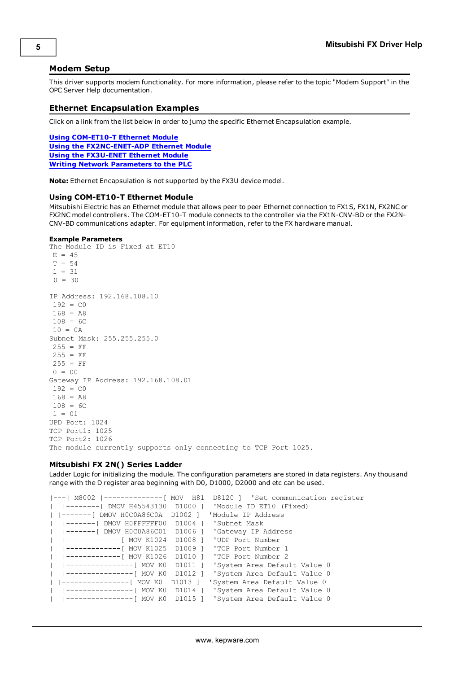#### <span id="page-4-0"></span>**Modem Setup**

This driver supports modem functionality. For more information, please refer to the topic "Modem Support" in the OPC Server Help documentation.

#### <span id="page-4-1"></span>**Ethernet Encapsulation Examples**

Click on a link from the list below in order to jump the specific Ethernet Encapsulation example.

**Using [COM-ET10-T](#page-4-2) Ethernet Module Using the [FX2NC-ENET-ADP](#page-5-0) Ethernet Module Using the [FX3U-ENET](#page-5-1) Ethernet Module Writing Network [Parameters](#page-7-0) to the PLC**

<span id="page-4-3"></span><span id="page-4-2"></span>**Note:** Ethernet Encapsulation is not supported by the FX3U device model.

#### **Using COM-ET10-T Ethernet Module**

Mitsubishi Electric has an Ethernet module that allows peer to peer Ethernet connection to FX1S, FX1N, FX2NC or FX2NC model controllers. The COM-ET10-T module connects to the controller via the FX1N-CNV-BD or the FX2N-CNV-BD communications adapter. For equipment information, refer to the FX hardware manual.

#### **Example Parameters**

The Module ID is Fixed at ET10  $E = 45$  $T = 54$  $1 = 31$  $0 = 30$ IP Address: 192.168.108.10  $192 = C0$  $168 = AB$  $108 = 6C$  $10 = 0A$ Subnet Mask: 255.255.255.0  $255 = FF$  $255 = FF$  $255 = FF$  $0 = 00$ Gateway IP Address: 192.168.108.01  $192 = C0$  $168 = A8$  $108 = 6C$ 1 = 01 UPD Port: 1024 TCP Port1: 1025 TCP Port2: 1026 The module currently supports only connecting to TCP Port 1025.

#### **Mitsubishi FX 2N() Series Ladder**

Ladder Logic for initializing the module. The configuration parameters are stored in data registers. Any thousand range with the D register area beginning with D0, D1000, D2000 and etc can be used.

```
|---| M8002 |--------------[ MOV  H81  D8120 ] 'Set communication register
|  |--------[ DMOV H45543130  D1000 ] 'Module ID ET10 (Fixed)
| |-------[ DMOV H0C0A86C0A  D1002 ] 'Module IP Address
  |  |-------[ DMOV H0FFFFFF00  D1004 ] 'Subnet Mask
  |  |-------[ DMOV H0C0A86C01  D1006 ] 'Gateway IP Address
  |  |-------------[ MOV K1024  D1008 ] 'UDP Port Number
  |  |-------------[ MOV K1025  D1009 ] 'TCP Port Number 1
  |  |-------------[ MOV K1026  D1010 ] 'TCP Port Number 2
  |  |----------------[ MOV K0  D1011 ] 'System Area Default Value 0
  |  |----------------[ MOV K0  D1012 ] 'System Area Default Value 0
| |----------------[ MOV K0  D1013 ] 'System Area Default Value 0
  |  |----------------[  MOV K0  D1014 ] 'System Area Default Value 0
  |  |----------------[ MOV K0  D1015 ] 'System Area Default Value 0
```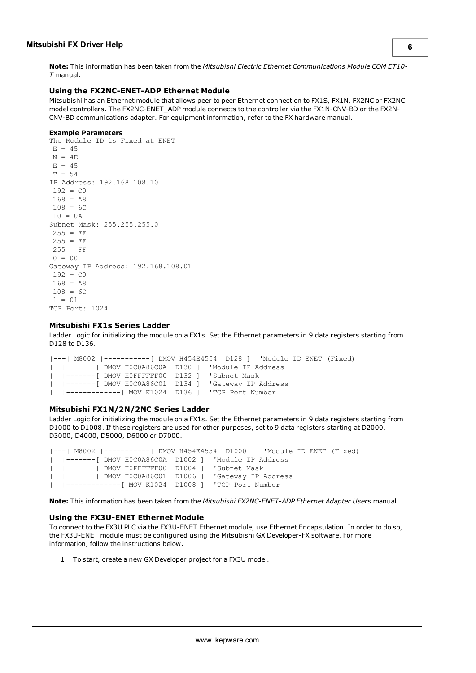<span id="page-5-0"></span>**Note:** This information has been taken from the *Mitsubishi Electric Ethernet Communications Module COM ET10- T* manual.

#### <span id="page-5-2"></span>**Using the FX2NC-ENET-ADP Ethernet Module**

Mitsubishi has an Ethernet module that allows peer to peer Ethernet connection to FX1S, FX1N, FX2NC or FX2NC model controllers. The FX2NC-ENET\_ADP module connects to the controller via the FX1N-CNV-BD or the FX2N-CNV-BD communications adapter. For equipment information, refer to the FX hardware manual.

#### **Example Parameters**

```
The Module ID is Fixed at ENET
E = 45N = 4EE = 45T = 54IP Address: 192.168.108.10
192 = C0168 = A8108 = 6C10 = 0ASubnet Mask: 255.255.255.0
255 = FF255 = FF255 = FF0 = 00Gateway IP Address: 192.168.108.01
192 = C_0168 = A8108 = 6C1 = 01TCP Port: 1024
```
#### **Mitsubishi FX1s Series Ladder**

Ladder Logic for initializing the module on a FX1s. Set the Ethernet parameters in 9 data registers starting from D128 to D136.

```
|---| M8002 |-----------[ DMOV H454E4554  D128 ] 'Module ID ENET (Fixed)
|  |-------[ DMOV H0C0A86C0A  D130 ] 'Module IP Address
|  |-------[ DMOV H0FFFFFF00  D132 ] 'Subnet Mask
|  |-------[ DMOV H0C0A86C01  D134 ] 'Gateway IP Address
 |  |-------------[ MOV K1024  D136 ] 'TCP Port Number
```
#### **Mitsubishi FX1N/2N/2NC Series Ladder**

Ladder Logic for initializing the module on a FX1s. Set the Ethernet parameters in 9 data registers starting from D1000 to D1008. If these registers are used for other purposes, set to 9 data registers starting at D2000, D3000, D4000, D5000, D6000 or D7000.

|---| M8002 |-----------[ DMOV H454E4554 D1000 ] 'Module ID ENET (Fixed) | |-------[ DMOV H0C0A86C0A D1002 ] 'Module IP Address | |-------[ DMOV H0FFFFFF00 D1004 ] 'Subnet Mask |-------[ DMOV H0C0A86C01 D1006 ] | |-------------[ MOV K1024 D1008 ] 'TCP Port Number

<span id="page-5-3"></span><span id="page-5-1"></span>**Note:** This information has been taken from the *Mitsubishi FX2NC-ENET-ADP Ethernet Adapter Users* manual.

#### **Using the FX3U-ENET Ethernet Module**

To connect to the FX3U PLC via the FX3U-ENET Ethernet module, use Ethernet Encapsulation. In order to do so, the FX3U-ENET module must be configured using the Mitsubishi GX Developer-FX software. For more information, follow the instructions below.

1. To start, create a new GX Developer project for a FX3U model.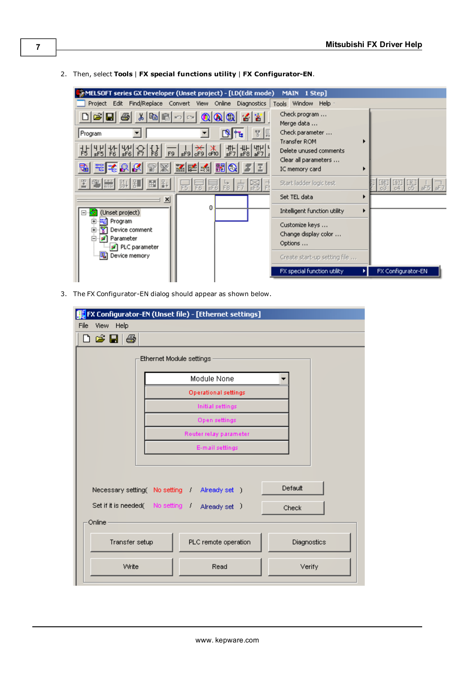- MELSOFT series GX Developer (Unset project) [LD(Edit mode) MAIN 1 Step] Project Edit Find/Replace Convert View Online Diagnostics Tools Window Help Check program ... D 2 5 4 5 6 6 7  $C\!\!\!\!\!\times\!\!$  $\mathbf{0}$   $\mathbf{0}$   $\mathbf{0}$ 12 Y Merge data ... Program न ▼ Check parameter ... 團 ъ Transfer ROM Þ 诺 노 Delete unused comments Clear all parameters ... 殿 孟隆 嘂 O IC memory card k 画到 Start ladder logic test 量  $R11$ 别 Set TEL data ×  $\mathbf{x}$  $\mathbf{0}$ Intelligent function utility  $\blacktriangleright$ 日 (Unset project) 画 - <mark>编</mark> Program<br>中 - 20 Device comment Customize keys ... Change display color ... Parameter Options ... PLC parameter Device memory Create start-up setting file ... FX special function utility FX Configurator-EN 케
- 2. Then, select **Tools** | **FX special functions utility** | **FX Configurator-EN**.

3. The FX Configurator-EN dialog should appear as shown below.

| FX Configurator-EN (Unset file) - [Ethernet settings]      |                                                         |             |  |  |  |  |
|------------------------------------------------------------|---------------------------------------------------------|-------------|--|--|--|--|
| View Help<br>File                                          |                                                         |             |  |  |  |  |
| ) 2 H &                                                    |                                                         |             |  |  |  |  |
| Ethernet Module settings                                   |                                                         |             |  |  |  |  |
|                                                            | Module None                                             |             |  |  |  |  |
|                                                            | <b>Operational settings</b>                             |             |  |  |  |  |
|                                                            | Initial settings                                        |             |  |  |  |  |
|                                                            | <b>Open settings</b>                                    |             |  |  |  |  |
|                                                            | Router relay parameter                                  |             |  |  |  |  |
|                                                            | E-mail settings                                         |             |  |  |  |  |
|                                                            | Default<br>Necessary setting(No setting / Already set ) |             |  |  |  |  |
| Set if it is needed ( No setting / Already set )<br>Online |                                                         | Check       |  |  |  |  |
| Transfer setup                                             | PLC remote operation                                    | Diagnostics |  |  |  |  |
| Write                                                      | Read                                                    | Verify      |  |  |  |  |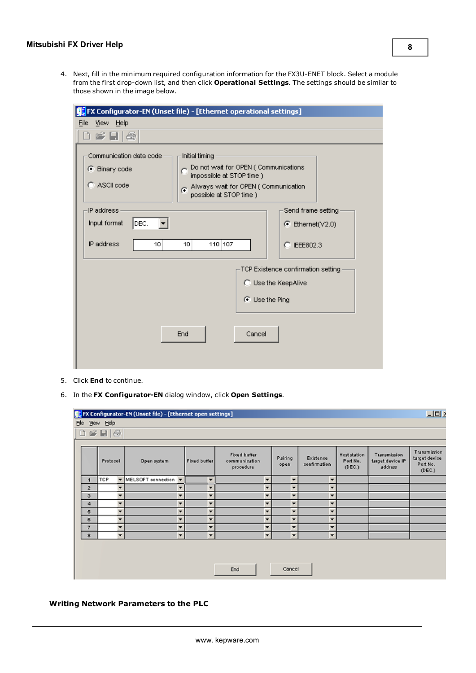4. Next, fill in the minimum required configuration information for the FX3U-ENET block. Select a module from the first drop-down list, and then click **Operational Settings**. The settings should be similar to those shown in the image below.

| FX Configurator-EN (Unset file) - [Ethernet operational settings]                                                                                                                                                 |                                    |
|-------------------------------------------------------------------------------------------------------------------------------------------------------------------------------------------------------------------|------------------------------------|
| File View Help                                                                                                                                                                                                    |                                    |
| ) 6 H &                                                                                                                                                                                                           |                                    |
| Communication data code<br>Initial timing<br>Do not wait for OPEN (Communications<br>• Binary code<br>impossible at STOP time )<br>C ASCII code<br>Always wait for OPEN (Communication<br>possible at STOP time ) |                                    |
| IP address                                                                                                                                                                                                        | Send frame setting                 |
| DEC.<br>Input format                                                                                                                                                                                              | $\bullet$ Ethernet(V2.0)           |
| IP address<br>110 107<br>10<br>10                                                                                                                                                                                 | C IEEE802.3                        |
|                                                                                                                                                                                                                   | TCP Existence confirmation setting |
|                                                                                                                                                                                                                   | C Use the KeepAlive                |
| ⊙ Use the Ping                                                                                                                                                                                                    |                                    |
| Cancel<br>End                                                                                                                                                                                                     |                                    |

- 5. Click **End** to continue.
- 6. In the **FX Configurator-EN** dialog window, click **Open Settings**.

| $\n  102\n$<br><b>FL</b> FX Configurator-EN (Unset file) - [Ethernet open settings] |          |   |                      |                          |                     |                                            |   |                          |                           |                                    |                                             |                                                     |
|-------------------------------------------------------------------------------------|----------|---|----------------------|--------------------------|---------------------|--------------------------------------------|---|--------------------------|---------------------------|------------------------------------|---------------------------------------------|-----------------------------------------------------|
| File View Help                                                                      |          |   |                      |                          |                     |                                            |   |                          |                           |                                    |                                             |                                                     |
| 白雪日母                                                                                |          |   |                      |                          |                     |                                            |   |                          |                           |                                    |                                             |                                                     |
|                                                                                     |          |   |                      |                          |                     |                                            |   |                          |                           |                                    |                                             |                                                     |
|                                                                                     | Protocol |   | Open system          |                          | <b>Fixed buffer</b> | Fixed buffer<br>communication<br>procedure |   | Pairing<br>open          | Existence<br>confirmation | Host station<br>Port No.<br>(DEC.) | Transmission<br>target device IP<br>address | Transmission<br>target device<br>Port No.<br>(DEC.) |
|                                                                                     | TCP      |   | MELSOFT connection = |                          | ۰                   |                                            | ٠ | ۰                        | ٠                         |                                    |                                             |                                                     |
| $\overline{2}$                                                                      |          |   |                      | $\overline{\phantom{a}}$ | ▼                   |                                            | ۰ | $\overline{\phantom{a}}$ | $\overline{\phantom{a}}$  |                                    |                                             |                                                     |
| $\ddot{\phantom{a}}$                                                                |          | ▼ |                      | ۰                        | ۰                   |                                            | ۰ | $\overline{\phantom{a}}$ | $\overline{\phantom{a}}$  |                                    |                                             |                                                     |
| 4                                                                                   |          |   |                      | ۰                        | ۰                   |                                            | ۰ | ۰                        | ▼                         |                                    |                                             |                                                     |
| 5                                                                                   |          |   |                      | ٠                        | ۰                   |                                            | ٠ | ۰                        | ٠                         |                                    |                                             |                                                     |
| 6                                                                                   |          |   |                      | $\overline{\phantom{a}}$ | ۰                   |                                            | ۰ | ▼                        | ۰                         |                                    |                                             |                                                     |
| $\overline{7}$                                                                      |          | ۰ |                      | $\overline{\phantom{a}}$ | ▼                   |                                            | ۰ | $\overline{\phantom{a}}$ | $\overline{\phantom{a}}$  |                                    |                                             |                                                     |
| 8                                                                                   |          | ۰ |                      | $\overline{\phantom{a}}$ | ▼                   |                                            | ۰ | $\overline{\phantom{a}}$ | ٠                         |                                    |                                             |                                                     |
| Cancel<br>End                                                                       |          |   |                      |                          |                     |                                            |   |                          |                           |                                    |                                             |                                                     |

#### <span id="page-7-0"></span>**Writing Network Parameters to the PLC**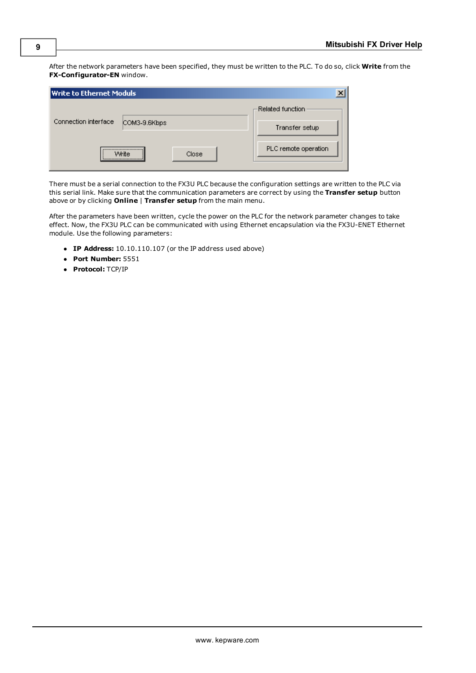After the network parameters have been specified, they must be written to the PLC. To do so, click **Write** from the **FX-Configurator-EN** window.

| Write to Ethernet Moduls |                                                         |                      |
|--------------------------|---------------------------------------------------------|----------------------|
|                          |                                                         | –Related function.   |
| Connection interface     | COM3-9.6Kbps                                            | Transfer setup       |
|                          |                                                         |                      |
|                          | <br>Close<br>Write<br>,,,,,,,,,,,,,,,,,,,,,,,,,,,,,,,,, | PLC remote operation |

There must be a serial connection to the FX3U PLC because the configuration settings are written to the PLC via this serial link. Make sure that the communication parameters are correct by using the **Transfer setup** button above or by clicking **Online** | **Transfer setup** from the main menu.

After the parameters have been written, cycle the power on the PLC for the network parameter changes to take effect. Now, the FX3U PLC can be communicated with using Ethernet encapsulation via the FX3U-ENET Ethernet module. Use the following parameters:

- **· IP Address:** 10.10.110.107 (or the IP address used above)
- l **Port Number:** 5551
- **Protocol:** TCP/IP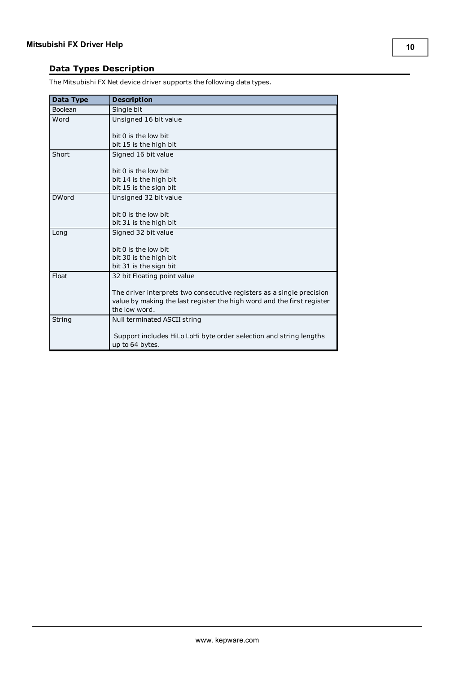# <span id="page-9-0"></span>**Data Types Description**

<span id="page-9-6"></span><span id="page-9-5"></span><span id="page-9-4"></span><span id="page-9-3"></span><span id="page-9-2"></span><span id="page-9-1"></span>

| Data Type    | <b>Description</b>                                                     |
|--------------|------------------------------------------------------------------------|
| Boolean      | Single bit                                                             |
| Word         | Unsigned 16 bit value                                                  |
|              |                                                                        |
|              | bit 0 is the low bit                                                   |
|              | bit 15 is the high bit                                                 |
| Short        | Signed 16 bit value                                                    |
|              |                                                                        |
|              | bit 0 is the low bit                                                   |
|              | bit 14 is the high bit                                                 |
|              | bit 15 is the sign bit                                                 |
| <b>DWord</b> | Unsigned 32 bit value                                                  |
|              |                                                                        |
|              | bit 0 is the low bit                                                   |
|              | bit 31 is the high bit                                                 |
| Long         | Signed 32 bit value                                                    |
|              | bit 0 is the low bit                                                   |
|              | bit 30 is the high bit                                                 |
|              | bit 31 is the sign bit                                                 |
| Float        | 32 bit Floating point value                                            |
|              |                                                                        |
|              | The driver interprets two consecutive registers as a single precision  |
|              | value by making the last register the high word and the first register |
|              | the low word.                                                          |
| String       | Null terminated ASCII string                                           |
|              |                                                                        |
|              | Support includes HiLo LoHi byte order selection and string lengths     |
|              | up to 64 bytes.                                                        |

The Mitsubishi FX Net device driver supports the following data types.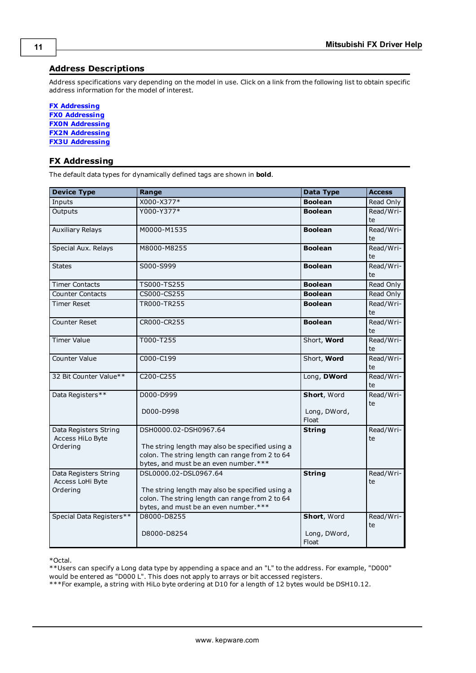### <span id="page-10-0"></span>**Address Descriptions**

Address specifications vary depending on the model in use. Click on a link from the following list to obtain specific address information for the model of interest.

**FX [Addressing](#page-10-1) FX0 [Addressing](#page-11-0) FX0N [Addressing](#page-11-1) FX2N [Addressing](#page-12-0) FX3U [Addressing](#page-13-0)**

### <span id="page-10-1"></span>**FX Addressing**

The default data types for dynamically defined tags are shown in **bold**.

| <b>Device Type</b>       | Range                                           | Data Type             | <b>Access</b> |
|--------------------------|-------------------------------------------------|-----------------------|---------------|
| Inputs                   | X000-X377*                                      | <b>Boolean</b>        | Read Only     |
| Outputs                  | Y000-Y377*                                      | <b>Boolean</b>        | Read/Wri-     |
|                          |                                                 |                       | te            |
| <b>Auxiliary Relays</b>  | M0000-M1535                                     | <b>Boolean</b>        | Read/Wri-     |
|                          |                                                 |                       | te            |
| Special Aux. Relays      | M8000-M8255                                     | <b>Boolean</b>        | Read/Wri-     |
|                          |                                                 |                       | te            |
| <b>States</b>            | S000-S999                                       | <b>Boolean</b>        | Read/Wri-     |
|                          |                                                 |                       | te            |
| <b>Timer Contacts</b>    | TS000-TS255                                     | <b>Boolean</b>        | Read Only     |
| <b>Counter Contacts</b>  | CS000-CS255                                     | <b>Boolean</b>        | Read Only     |
| <b>Timer Reset</b>       | TR000-TR255                                     | <b>Boolean</b>        | Read/Wri-     |
|                          |                                                 |                       | te            |
| <b>Counter Reset</b>     | CR000-CR255                                     | <b>Boolean</b>        | Read/Wri-     |
|                          |                                                 |                       | te            |
| <b>Timer Value</b>       | T000-T255                                       | Short, Word           | Read/Wri-     |
|                          |                                                 |                       | te            |
| <b>Counter Value</b>     | C000-C199                                       | Short, Word           | Read/Wri-     |
|                          |                                                 |                       | te            |
| 32 Bit Counter Value**   | C200-C255                                       | Long, DWord           | Read/Wri-     |
|                          |                                                 |                       | te            |
| Data Registers**         | D000-D999                                       | Short, Word           | Read/Wri-     |
|                          | D000-D998                                       | Long, DWord,          | te            |
|                          |                                                 | Float                 |               |
| Data Registers String    | DSH0000.02-DSH0967.64                           | <b>String</b>         | Read/Wri-     |
| Access HiLo Byte         |                                                 |                       | te            |
| Ordering                 | The string length may also be specified using a |                       |               |
|                          | colon. The string length can range from 2 to 64 |                       |               |
|                          | bytes, and must be an even number.***           |                       |               |
| Data Registers String    | DSL0000.02-DSL0967.64                           | <b>String</b>         | Read/Wri-     |
| Access LoHi Byte         |                                                 |                       | te            |
| Ordering                 | The string length may also be specified using a |                       |               |
|                          | colon. The string length can range from 2 to 64 |                       |               |
|                          | bytes, and must be an even number.***           |                       |               |
| Special Data Registers** | D8000-D8255                                     | Short, Word           | Read/Wri-     |
|                          |                                                 |                       | te            |
|                          | D8000-D8254                                     | Long, DWord,<br>Float |               |
|                          |                                                 |                       |               |

\*Octal.

\*\*Users can specify a Long data type by appending a space and an "L" to the address. For example, "D000" would be entered as "D000 L". This does not apply to arrays or bit accessed registers.

\*\*\*For example, a string with HiLo byte ordering at D10 for a length of 12 bytes would be DSH10.12.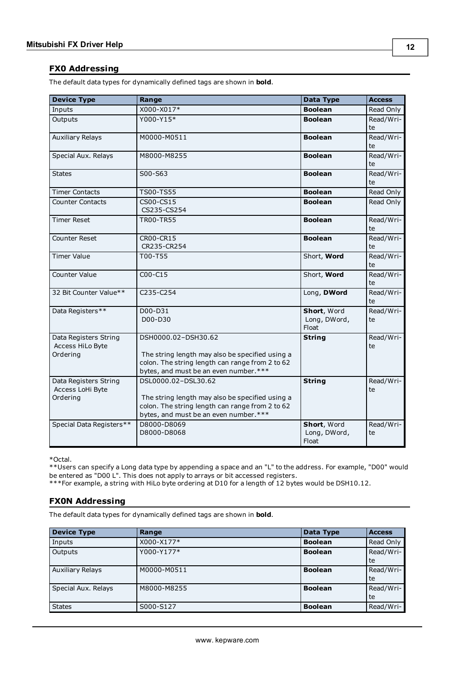#### <span id="page-11-0"></span>**FX0 Addressing**

The default data types for dynamically defined tags are shown in **bold**.

| <b>Device Type</b>       | Range                                           | Data Type             | <b>Access</b>   |
|--------------------------|-------------------------------------------------|-----------------------|-----------------|
| Inputs                   | X000-X017*                                      | <b>Boolean</b>        | Read Only       |
| Outputs                  | Y000-Y15*                                       | <b>Boolean</b>        | Read/Wri-       |
|                          |                                                 |                       | te              |
| <b>Auxiliary Relays</b>  | M0000-M0511                                     | <b>Boolean</b>        | Read/Wri-       |
|                          |                                                 |                       | te              |
| Special Aux. Relays      | M8000-M8255                                     | <b>Boolean</b>        | Read/Wri-<br>te |
| <b>States</b>            | S00-S63                                         | <b>Boolean</b>        | Read/Wri-       |
|                          |                                                 |                       | te              |
| <b>Timer Contacts</b>    | TS00-TS55                                       | <b>Boolean</b>        | Read Only       |
| <b>Counter Contacts</b>  | CS00-CS15                                       | <b>Boolean</b>        | Read Only       |
|                          | CS235-CS254                                     |                       |                 |
| <b>Timer Reset</b>       | <b>TR00-TR55</b>                                | <b>Boolean</b>        | Read/Wri-       |
|                          |                                                 |                       | te              |
| <b>Counter Reset</b>     | CR00-CR15                                       | <b>Boolean</b>        | Read/Wri-       |
|                          | CR235-CR254                                     |                       | te              |
| <b>Timer Value</b>       | T00-T55                                         | Short, Word           | Read/Wri-<br>te |
| Counter Value            | C00-C15                                         | Short, Word           | Read/Wri-       |
|                          |                                                 |                       | te              |
| 32 Bit Counter Value**   | C235-C254                                       | Long, DWord           | Read/Wri-       |
|                          |                                                 |                       | te              |
| Data Registers**         | D00-D31                                         | Short, Word           | Read/Wri-       |
|                          | D00-D30                                         | Long, DWord,<br>Float | te              |
| Data Registers String    | DSH0000.02-DSH30.62                             | <b>String</b>         | Read/Wri-       |
| Access HiLo Byte         |                                                 |                       | te              |
| Ordering                 | The string length may also be specified using a |                       |                 |
|                          | colon. The string length can range from 2 to 62 |                       |                 |
|                          | bytes, and must be an even number.***           |                       |                 |
| Data Registers String    | DSL0000.02-DSL30.62                             | <b>String</b>         | Read/Wri-       |
| Access LoHi Byte         |                                                 |                       | te              |
| Ordering                 | The string length may also be specified using a |                       |                 |
|                          | colon. The string length can range from 2 to 62 |                       |                 |
|                          | bytes, and must be an even number.***           |                       |                 |
| Special Data Registers** | D8000-D8069                                     | Short, Word           | Read/Wri-       |
|                          | D8000-D8068                                     | Long, DWord,<br>Float | te              |

\*Octal.

\*\*Users can specify a Long data type by appending a space and an "L" to the address. For example, "D00" would be entered as "D00 L". This does not apply to arrays or bit accessed registers.

<span id="page-11-1"></span>\*\*\*For example, a string with HiLo byte ordering at D10 for a length of 12 bytes would be DSH10.12.

### **FX0N Addressing**

The default data types for dynamically defined tags are shown in **bold**.

| <b>Device Type</b>      | Range       | <b>Data Type</b> | <b>Access</b> |
|-------------------------|-------------|------------------|---------------|
| Inputs                  | X000-X177*  | <b>Boolean</b>   | Read Only     |
| Outputs                 | Y000-Y177*  | <b>Boolean</b>   | Read/Wri-     |
|                         |             |                  | te            |
| <b>Auxiliary Relays</b> | M0000-M0511 | <b>Boolean</b>   | Read/Wri-     |
|                         |             |                  | te            |
| Special Aux. Relays     | M8000-M8255 | <b>Boolean</b>   | Read/Wri-     |
|                         |             |                  | te            |
| <b>States</b>           | S000-S127   | <b>Boolean</b>   | Read/Wri-     |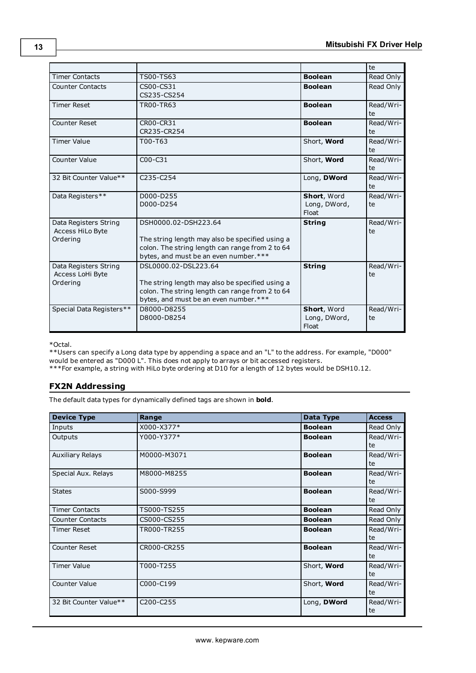|                          |                                                                                          |                       | te        |
|--------------------------|------------------------------------------------------------------------------------------|-----------------------|-----------|
| <b>Timer Contacts</b>    | TS00-TS63                                                                                | <b>Boolean</b>        | Read Only |
| <b>Counter Contacts</b>  | CS00-CS31                                                                                | <b>Boolean</b>        | Read Only |
|                          | CS235-CS254                                                                              |                       |           |
| <b>Timer Reset</b>       | TR00-TR63                                                                                | <b>Boolean</b>        | Read/Wri- |
|                          |                                                                                          |                       | te        |
| <b>Counter Reset</b>     | CR00-CR31                                                                                | <b>Boolean</b>        | Read/Wri- |
|                          | CR235-CR254                                                                              |                       | te        |
| <b>Timer Value</b>       | T00-T63                                                                                  | Short, Word           | Read/Wri- |
|                          |                                                                                          |                       | te        |
| <b>Counter Value</b>     | $COO-C31$                                                                                | Short, Word           | Read/Wri- |
|                          |                                                                                          |                       | te        |
| 32 Bit Counter Value**   | C <sub>235</sub> -C <sub>254</sub>                                                       | Long, DWord           | Read/Wri- |
|                          |                                                                                          |                       | te        |
| Data Registers**         | D000-D255                                                                                | Short, Word           | Read/Wri- |
|                          | D000-D254                                                                                | Long, DWord,          | te        |
|                          |                                                                                          | Float                 |           |
| Data Registers String    | DSH0000.02-DSH223.64                                                                     | <b>String</b>         | Read/Wri- |
| <b>Access HiLo Byte</b>  |                                                                                          |                       | te        |
| Ordering                 | The string length may also be specified using a                                          |                       |           |
|                          | colon. The string length can range from 2 to 64                                          |                       |           |
|                          | bytes, and must be an even number.***                                                    |                       |           |
| Data Registers String    | DSL0000.02-DSL223.64                                                                     | <b>String</b>         | Read/Wri- |
| Access LoHi Byte         |                                                                                          |                       | te        |
| Ordering                 | The string length may also be specified using a                                          |                       |           |
|                          | colon. The string length can range from 2 to 64<br>bytes, and must be an even number.*** |                       |           |
|                          |                                                                                          |                       |           |
| Special Data Registers** | D8000-D8255                                                                              | Short, Word           | Read/Wri- |
|                          | D8000-D8254                                                                              | Long, DWord,<br>Float | te        |
|                          |                                                                                          |                       |           |

\*Octal.

\*\*Users can specify a Long data type by appending a space and an "L" to the address. For example, "D000" would be entered as "D000 L". This does not apply to arrays or bit accessed registers.

<span id="page-12-0"></span>\*\*\*For example, a string with HiLo byte ordering at D10 for a length of 12 bytes would be DSH10.12.

#### **FX2N Addressing**

The default data types for dynamically defined tags are shown in **bold**.

| <b>Device Type</b>      | Range                              | <b>Data Type</b> | <b>Access</b> |
|-------------------------|------------------------------------|------------------|---------------|
| Inputs                  | X000-X377*                         | <b>Boolean</b>   | Read Only     |
| Outputs                 | Y000-Y377*                         | <b>Boolean</b>   | Read/Wri-     |
|                         |                                    |                  | te            |
| <b>Auxiliary Relays</b> | M0000-M3071                        | <b>Boolean</b>   | Read/Wri-     |
|                         |                                    |                  | te            |
| Special Aux. Relays     | M8000-M8255                        | <b>Boolean</b>   | Read/Wri-     |
|                         |                                    |                  | te            |
| <b>States</b>           | S000-S999                          | <b>Boolean</b>   | Read/Wri-     |
|                         |                                    |                  | te            |
| <b>Timer Contacts</b>   | TS000-TS255                        | <b>Boolean</b>   | Read Only     |
| <b>Counter Contacts</b> | CS000-CS255                        | <b>Boolean</b>   | Read Only     |
| <b>Timer Reset</b>      | TR000-TR255                        | <b>Boolean</b>   | Read/Wri-     |
|                         |                                    |                  | te            |
| <b>Counter Reset</b>    | CR000-CR255                        | <b>Boolean</b>   | Read/Wri-     |
|                         |                                    |                  | te            |
| <b>Timer Value</b>      | T000-T255                          | Short, Word      | Read/Wri-     |
|                         |                                    |                  | te            |
| <b>Counter Value</b>    | C000-C199                          | Short, Word      | Read/Wri-     |
|                         |                                    |                  | te            |
| 32 Bit Counter Value**  | C <sub>200</sub> -C <sub>255</sub> | Long, DWord      | Read/Wri-     |
|                         |                                    |                  | te            |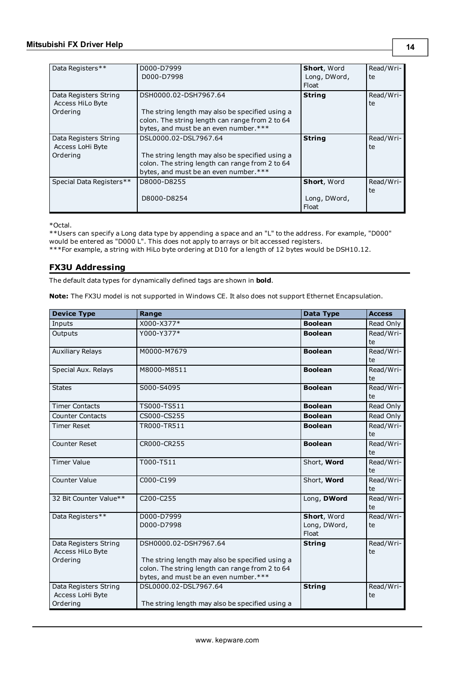| Data Registers**                                      | D000-D7999<br>D000-D7998                                                                                                                                             | <b>Short, Word</b><br>Long, DWord,<br>Float | Read/Wri-<br>te |
|-------------------------------------------------------|----------------------------------------------------------------------------------------------------------------------------------------------------------------------|---------------------------------------------|-----------------|
| Data Registers String<br>Access HiLo Byte<br>Ordering | DSH0000.02-DSH7967.64<br>The string length may also be specified using a<br>colon. The string length can range from 2 to 64<br>bytes, and must be an even number.*** | <b>String</b>                               | Read/Wri-<br>te |
| Data Registers String<br>Access LoHi Byte<br>Ordering | DSL0000.02-DSL7967.64<br>The string length may also be specified using a<br>colon. The string length can range from 2 to 64<br>bytes, and must be an even number.*** | <b>String</b>                               | Read/Wri-<br>te |
| Special Data Registers**                              | D8000-D8255<br>D8000-D8254                                                                                                                                           | <b>Short, Word</b><br>Long, DWord,<br>Float | Read/Wri-<br>te |

\*Octal.

\*\*Users can specify a Long data type by appending a space and an "L" to the address. For example, "D000" would be entered as "D000 L". This does not apply to arrays or bit accessed registers.

<span id="page-13-0"></span>\*\*\*For example, a string with HiLo byte ordering at D10 for a length of 12 bytes would be DSH10.12.

#### **FX3U Addressing**

The default data types for dynamically defined tags are shown in **bold**.

**Note:** The FX3U model is not supported in Windows CE. It also does not support Ethernet Encapsulation.

| X000-X377*<br><b>Boolean</b><br>Inputs<br>Read Only<br>Y000-Y377*<br><b>Boolean</b><br>Read/Wri-<br>Outputs<br>te<br><b>Auxiliary Relays</b><br>M0000-M7679<br>Read/Wri-<br><b>Boolean</b><br>te<br>Special Aux. Relays<br>Read/Wri-<br>M8000-M8511<br><b>Boolean</b><br>te<br>Read/Wri-<br>S000-S4095<br><b>Boolean</b><br><b>States</b><br>te<br>TS000-TS511<br><b>Timer Contacts</b><br><b>Boolean</b><br>Read Only<br>CS000-CS255<br>Read Only<br><b>Counter Contacts</b><br><b>Boolean</b><br>TR000-TR511<br>Read/Wri-<br><b>Timer Reset</b><br><b>Boolean</b><br>te<br>CR000-CR255<br>Read/Wri-<br><b>Counter Reset</b><br><b>Boolean</b><br>te<br><b>Timer Value</b><br>T000-T511<br>Short, Word<br>Read/Wri-<br>te<br><b>Counter Value</b><br>Read/Wri-<br>C000-C199<br>Short, Word<br>te<br>32 Bit Counter Value**<br>C200-C255<br>Long, DWord<br>Read/Wri-<br>te<br>Data Registers**<br>D000-D7999<br>Short, Word<br>Read/Wri-<br>D000-D7998<br>Long, DWord,<br>te<br>Float<br>Data Registers String<br>DSH0000.02-DSH7967.64<br><b>String</b><br>Read/Wri-<br>Access HiLo Byte<br>te<br>Ordering<br>The string length may also be specified using a<br>colon. The string length can range from 2 to 64<br>bytes, and must be an even number.*** | <b>Device Type</b>    | Range                 | <b>Data Type</b> | <b>Access</b> |
|------------------------------------------------------------------------------------------------------------------------------------------------------------------------------------------------------------------------------------------------------------------------------------------------------------------------------------------------------------------------------------------------------------------------------------------------------------------------------------------------------------------------------------------------------------------------------------------------------------------------------------------------------------------------------------------------------------------------------------------------------------------------------------------------------------------------------------------------------------------------------------------------------------------------------------------------------------------------------------------------------------------------------------------------------------------------------------------------------------------------------------------------------------------------------------------------------------------------------------------------------------|-----------------------|-----------------------|------------------|---------------|
|                                                                                                                                                                                                                                                                                                                                                                                                                                                                                                                                                                                                                                                                                                                                                                                                                                                                                                                                                                                                                                                                                                                                                                                                                                                            |                       |                       |                  |               |
|                                                                                                                                                                                                                                                                                                                                                                                                                                                                                                                                                                                                                                                                                                                                                                                                                                                                                                                                                                                                                                                                                                                                                                                                                                                            |                       |                       |                  |               |
|                                                                                                                                                                                                                                                                                                                                                                                                                                                                                                                                                                                                                                                                                                                                                                                                                                                                                                                                                                                                                                                                                                                                                                                                                                                            |                       |                       |                  |               |
|                                                                                                                                                                                                                                                                                                                                                                                                                                                                                                                                                                                                                                                                                                                                                                                                                                                                                                                                                                                                                                                                                                                                                                                                                                                            |                       |                       |                  |               |
|                                                                                                                                                                                                                                                                                                                                                                                                                                                                                                                                                                                                                                                                                                                                                                                                                                                                                                                                                                                                                                                                                                                                                                                                                                                            |                       |                       |                  |               |
|                                                                                                                                                                                                                                                                                                                                                                                                                                                                                                                                                                                                                                                                                                                                                                                                                                                                                                                                                                                                                                                                                                                                                                                                                                                            |                       |                       |                  |               |
|                                                                                                                                                                                                                                                                                                                                                                                                                                                                                                                                                                                                                                                                                                                                                                                                                                                                                                                                                                                                                                                                                                                                                                                                                                                            |                       |                       |                  |               |
|                                                                                                                                                                                                                                                                                                                                                                                                                                                                                                                                                                                                                                                                                                                                                                                                                                                                                                                                                                                                                                                                                                                                                                                                                                                            |                       |                       |                  |               |
|                                                                                                                                                                                                                                                                                                                                                                                                                                                                                                                                                                                                                                                                                                                                                                                                                                                                                                                                                                                                                                                                                                                                                                                                                                                            |                       |                       |                  |               |
|                                                                                                                                                                                                                                                                                                                                                                                                                                                                                                                                                                                                                                                                                                                                                                                                                                                                                                                                                                                                                                                                                                                                                                                                                                                            |                       |                       |                  |               |
|                                                                                                                                                                                                                                                                                                                                                                                                                                                                                                                                                                                                                                                                                                                                                                                                                                                                                                                                                                                                                                                                                                                                                                                                                                                            |                       |                       |                  |               |
|                                                                                                                                                                                                                                                                                                                                                                                                                                                                                                                                                                                                                                                                                                                                                                                                                                                                                                                                                                                                                                                                                                                                                                                                                                                            |                       |                       |                  |               |
|                                                                                                                                                                                                                                                                                                                                                                                                                                                                                                                                                                                                                                                                                                                                                                                                                                                                                                                                                                                                                                                                                                                                                                                                                                                            |                       |                       |                  |               |
|                                                                                                                                                                                                                                                                                                                                                                                                                                                                                                                                                                                                                                                                                                                                                                                                                                                                                                                                                                                                                                                                                                                                                                                                                                                            |                       |                       |                  |               |
|                                                                                                                                                                                                                                                                                                                                                                                                                                                                                                                                                                                                                                                                                                                                                                                                                                                                                                                                                                                                                                                                                                                                                                                                                                                            |                       |                       |                  |               |
|                                                                                                                                                                                                                                                                                                                                                                                                                                                                                                                                                                                                                                                                                                                                                                                                                                                                                                                                                                                                                                                                                                                                                                                                                                                            |                       |                       |                  |               |
|                                                                                                                                                                                                                                                                                                                                                                                                                                                                                                                                                                                                                                                                                                                                                                                                                                                                                                                                                                                                                                                                                                                                                                                                                                                            |                       |                       |                  |               |
|                                                                                                                                                                                                                                                                                                                                                                                                                                                                                                                                                                                                                                                                                                                                                                                                                                                                                                                                                                                                                                                                                                                                                                                                                                                            |                       |                       |                  |               |
|                                                                                                                                                                                                                                                                                                                                                                                                                                                                                                                                                                                                                                                                                                                                                                                                                                                                                                                                                                                                                                                                                                                                                                                                                                                            |                       |                       |                  |               |
|                                                                                                                                                                                                                                                                                                                                                                                                                                                                                                                                                                                                                                                                                                                                                                                                                                                                                                                                                                                                                                                                                                                                                                                                                                                            |                       |                       |                  |               |
|                                                                                                                                                                                                                                                                                                                                                                                                                                                                                                                                                                                                                                                                                                                                                                                                                                                                                                                                                                                                                                                                                                                                                                                                                                                            |                       |                       |                  |               |
|                                                                                                                                                                                                                                                                                                                                                                                                                                                                                                                                                                                                                                                                                                                                                                                                                                                                                                                                                                                                                                                                                                                                                                                                                                                            |                       |                       |                  |               |
|                                                                                                                                                                                                                                                                                                                                                                                                                                                                                                                                                                                                                                                                                                                                                                                                                                                                                                                                                                                                                                                                                                                                                                                                                                                            |                       |                       |                  |               |
|                                                                                                                                                                                                                                                                                                                                                                                                                                                                                                                                                                                                                                                                                                                                                                                                                                                                                                                                                                                                                                                                                                                                                                                                                                                            |                       |                       |                  |               |
|                                                                                                                                                                                                                                                                                                                                                                                                                                                                                                                                                                                                                                                                                                                                                                                                                                                                                                                                                                                                                                                                                                                                                                                                                                                            |                       |                       |                  |               |
|                                                                                                                                                                                                                                                                                                                                                                                                                                                                                                                                                                                                                                                                                                                                                                                                                                                                                                                                                                                                                                                                                                                                                                                                                                                            |                       |                       |                  |               |
|                                                                                                                                                                                                                                                                                                                                                                                                                                                                                                                                                                                                                                                                                                                                                                                                                                                                                                                                                                                                                                                                                                                                                                                                                                                            |                       |                       |                  |               |
|                                                                                                                                                                                                                                                                                                                                                                                                                                                                                                                                                                                                                                                                                                                                                                                                                                                                                                                                                                                                                                                                                                                                                                                                                                                            |                       |                       |                  |               |
|                                                                                                                                                                                                                                                                                                                                                                                                                                                                                                                                                                                                                                                                                                                                                                                                                                                                                                                                                                                                                                                                                                                                                                                                                                                            | Data Registers String | DSL0000.02-DSL7967.64 |                  | Read/Wri-     |
| <b>String</b><br>Access LoHi Byte<br>te                                                                                                                                                                                                                                                                                                                                                                                                                                                                                                                                                                                                                                                                                                                                                                                                                                                                                                                                                                                                                                                                                                                                                                                                                    |                       |                       |                  |               |
| Ordering<br>The string length may also be specified using a                                                                                                                                                                                                                                                                                                                                                                                                                                                                                                                                                                                                                                                                                                                                                                                                                                                                                                                                                                                                                                                                                                                                                                                                |                       |                       |                  |               |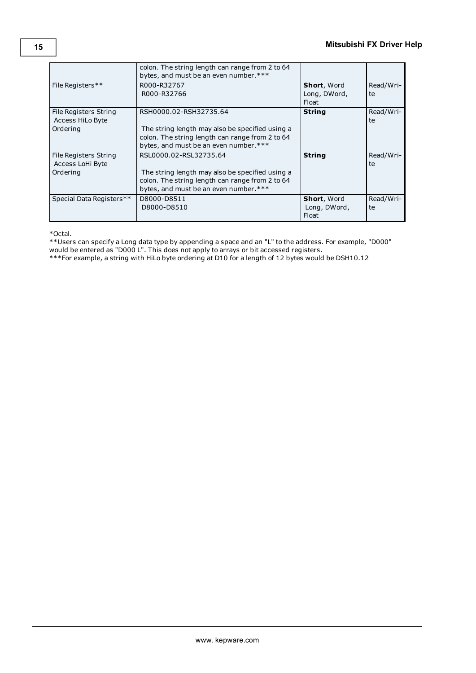|                                                       | colon. The string length can range from 2 to 64<br>bytes, and must be an even number.***                                                                              |                                             |                 |
|-------------------------------------------------------|-----------------------------------------------------------------------------------------------------------------------------------------------------------------------|---------------------------------------------|-----------------|
| File Registers**                                      | R000-R32767<br>R000-R32766                                                                                                                                            | <b>Short, Word</b><br>Long, DWord,<br>Float | Read/Wri-<br>te |
| File Registers String<br>Access HiLo Byte<br>Ordering | RSH0000.02-RSH32735.64<br>The string length may also be specified using a<br>colon. The string length can range from 2 to 64<br>bytes, and must be an even number.*** | <b>String</b>                               | Read/Wri-<br>te |
| File Registers String<br>Access LoHi Byte<br>Ordering | RSL0000.02-RSL32735.64<br>The string length may also be specified using a<br>colon. The string length can range from 2 to 64<br>bytes, and must be an even number.*** | <b>String</b>                               | Read/Wri-<br>te |
| Special Data Registers**                              | D8000-D8511<br>D8000-D8510                                                                                                                                            | <b>Short, Word</b><br>Long, DWord,<br>Float | Read/Wri-<br>te |

\*Octal.

\*\*Users can specify a Long data type by appending a space and an "L" to the address. For example, "D000"

would be entered as "D000 L". This does not apply to arrays or bit accessed registers.

\*\*\*For example, a string with HiLo byte ordering at D10 for a length of 12 bytes would be DSH10.12

**15**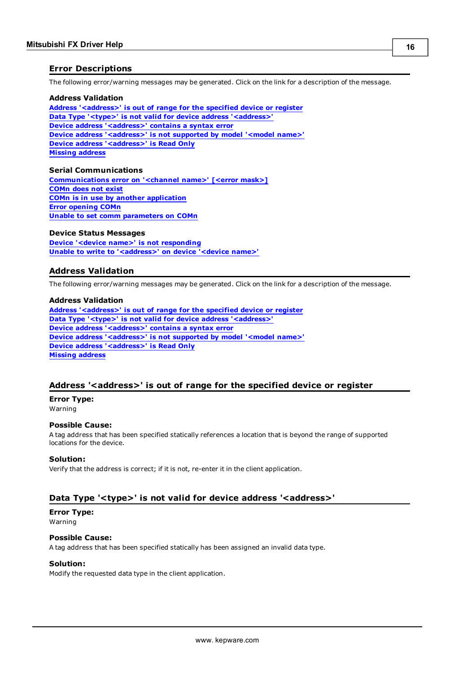#### <span id="page-15-0"></span>**Error Descriptions**

The following error/warning messages may be generated. Click on the link for a description of the message.

#### **Address Validation**

**Address ['<address>'](#page-15-2) is out of range for the specified device or register Data Type '<type>' is not valid for device address ['<address>'](#page-15-3) Device address ['<address>'](#page-16-0) contains a syntax error Device address ['<address>'](#page-16-1) is not supported by model '<model name>' Device address ['<address>'](#page-16-2) is Read Only Missing [address](#page-16-3)**

#### **Serial Communications**

**[Communications](#page-17-0) error on '<channel name>' [<error mask>] [COMn](#page-17-1) does not exist COMn is in use by another [application](#page-17-2) Error [opening](#page-17-3) COMn Unable to set comm [parameters](#page-17-4) on COMn**

#### **Device Status Messages**

**Device '<device name>' is not [responding](#page-18-1) Unable to write to ['<address>'](#page-18-2) on device '<device name>'**

#### <span id="page-15-1"></span>**Address Validation**

The following error/warning messages may be generated. Click on the link for a description of the message.

#### **Address Validation**

**Address ['<address>'](#page-15-2) is out of range for the specified device or register Data Type '<type>' is not valid for device address ['<address>'](#page-15-3) Device address ['<address>'](#page-16-0) contains a syntax error Device address ['<address>'](#page-16-1) is not supported by model '<model name>' Device address ['<address>'](#page-16-2) is Read Only Missing [address](#page-16-3)**

#### <span id="page-15-2"></span>**Address '<address>' is out of range for the specified device or register**

# **Error Type:**

Warning

#### **Possible Cause:**

A tag address that has been specified statically references a location that is beyond the range of supported locations for the device.

#### **Solution:**

Verify that the address is correct; if it is not, re-enter it in the client application.

#### <span id="page-15-3"></span>**Data Type '<type>' is not valid for device address '<address>'**

#### **Error Type:**

Warning

#### **Possible Cause:**

A tag address that has been specified statically has been assigned an invalid data type.

#### **Solution:**

Modify the requested data type in the client application.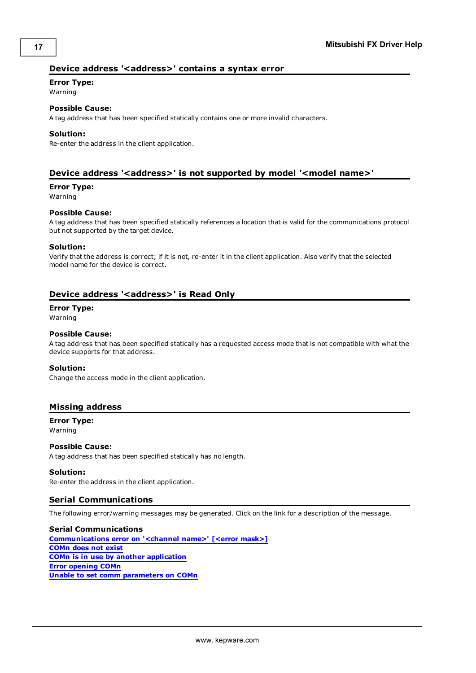#### <span id="page-16-0"></span>**Device address '<address>' contains a syntax error**

#### **Error Type:**

Warning

# **Possible Cause:**

A tag address that has been specified statically contains one or more invalid characters.

#### **Solution:**

Re-enter the address in the client application.

#### <span id="page-16-1"></span>**Device address '<address>' is not supported by model '<model name>'**

#### **Error Type:**

Warning

#### **Possible Cause:**

A tag address that has been specified statically references a location that is valid for the communications protocol but not supported by the target device.

#### **Solution:**

Verify that the address is correct; if it is not, re-enter it in the client application. Also verify that the selected model name for the device is correct.

#### <span id="page-16-2"></span>**Device address '<address>' is Read Only**

#### **Error Type:**

Warning

#### **Possible Cause:**

A tag address that has been specified statically has a requested access mode that is not compatible with what the device supports for that address.

#### **Solution:**

Change the access mode in the client application.

#### <span id="page-16-3"></span>**Missing address**

**Error Type:**

# Warning

**Possible Cause:** A tag address that has been specified statically has no length.

#### **Solution:**

<span id="page-16-4"></span>Re-enter the address in the client application.

#### **Serial Communications**

The following error/warning messages may be generated. Click on the link for a description of the message.

### **Serial Communications [Communications](#page-17-0) error on '<channel name>' [<error mask>] [COMn](#page-17-1) does not exist**

**COMn is in use by another [application](#page-17-2) Error [opening](#page-17-3) COMn Unable to set comm [parameters](#page-17-4) on COMn**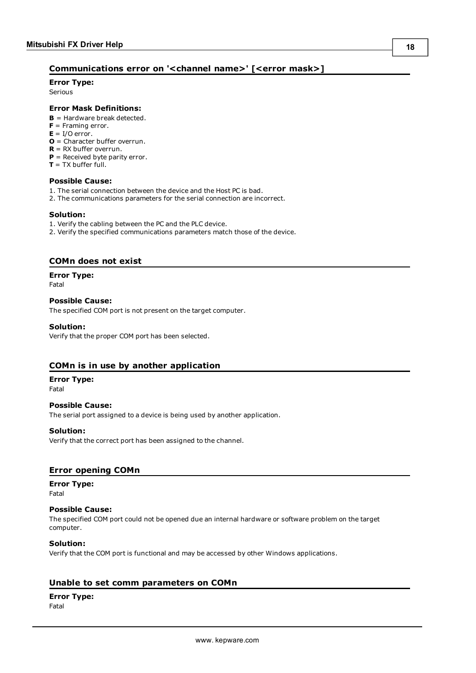## <span id="page-17-0"></span>**Communications error on '<channel name>' [<error mask>]**

**Error Type:**

Serious

#### **Error Mask Definitions:**

- <span id="page-17-5"></span>**B** = Hardware break detected.
- **F** = Framing error.
- <span id="page-17-6"></span> $E = I/O$  error.
- **O** = Character buffer overrun.
- <span id="page-17-7"></span>**R** = RX buffer overrun.
- **P** = Received byte parity error.
- **T** = TX buffer full.

#### **Possible Cause:**

- 1. The serial connection between the device and the Host PC is bad.
- 2. The communications parameters for the serial connection are incorrect.

#### **Solution:**

- 1. Verify the cabling between the PC and the PLC device.
- 2. Verify the specified communications parameters match those of the device.

#### <span id="page-17-1"></span>**COMn does not exist**

#### **Error Type:**

Fatal

#### **Possible Cause:**

The specified COM port is not present on the target computer.

#### **Solution:**

Verify that the proper COM port has been selected.

#### <span id="page-17-2"></span>**COMn is in use by another application**

### **Error Type:**

Fatal

### **Possible Cause:**

The serial port assigned to a device is being used by another application.

#### **Solution:**

Verify that the correct port has been assigned to the channel.

#### <span id="page-17-3"></span>**Error opening COMn**

#### **Error Type:**

Fatal

#### **Possible Cause:**

The specified COM port could not be opened due an internal hardware or software problem on the target computer.

#### **Solution:**

Verify that the COM port is functional and may be accessed by other Windows applications.

#### <span id="page-17-4"></span>**Unable to set comm parameters on COMn**

#### **Error Type:**

Fatal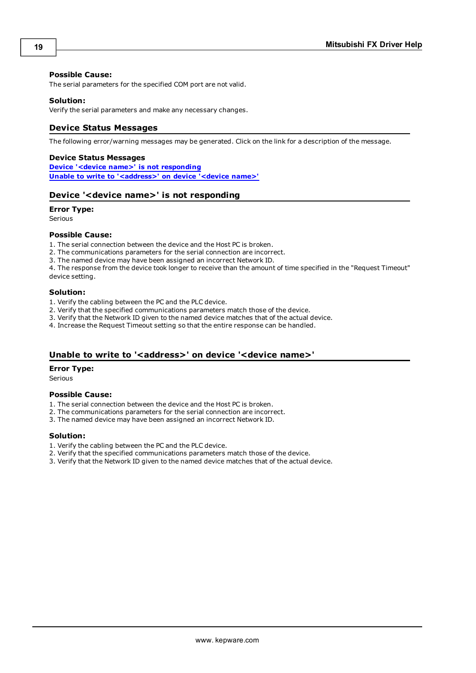#### **Possible Cause:**

The serial parameters for the specified COM port are not valid.

#### **Solution:**

<span id="page-18-0"></span>Verify the serial parameters and make any necessary changes.

#### **Device Status Messages**

The following error/warning messages may be generated. Click on the link for a description of the message.

#### **Device Status Messages**

**Device '<device name>' is not [responding](#page-18-1) Unable to write to ['<address>'](#page-18-2) on device '<device name>'**

#### <span id="page-18-1"></span>**Device '<device name>' is not responding**

#### **Error Type:**

Serious

#### **Possible Cause:**

1. The serial connection between the device and the Host PC is broken.

- 2. The communications parameters for the serial connection are incorrect.
- 3. The named device may have been assigned an incorrect Network ID.

4. The response from the device took longer to receive than the amount of time specified in the "Request Timeout" device setting.

#### **Solution:**

- 1. Verify the cabling between the PC and the PLC device.
- 2. Verify that the specified communications parameters match those of the device.
- 3. Verify that the Network ID given to the named device matches that of the actual device.
- 4. Increase the Request Timeout setting so that the entire response can be handled.

#### <span id="page-18-2"></span>**Unable to write to '<address>' on device '<device name>'**

#### **Error Type:**

Serious

#### **Possible Cause:**

- 1. The serial connection between the device and the Host PC is broken.
- 2. The communications parameters for the serial connection are incorrect.
- 3. The named device may have been assigned an incorrect Network ID.

#### **Solution:**

- 1. Verify the cabling between the PC and the PLC device.
- 2. Verify that the specified communications parameters match those of the device.
- 3. Verify that the Network ID given to the named device matches that of the actual device.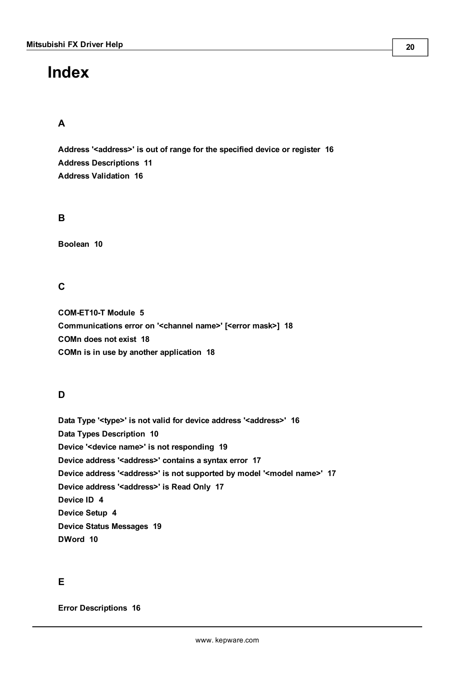# <span id="page-19-0"></span>**Index**

# **A**

**Address '<address>' is out of range for the specified device or register [16](#page-15-2) Address Descriptions [11](#page-10-0) Address Validation [16](#page-15-1)**

# **B**

**Boolean [10](#page-9-1)**

**C**

**COM-ET10-T Module [5](#page-4-3) Communications error on '<channel name>' [<error mask>] [18](#page-17-0) COMn does not exist [18](#page-17-1) COMn is in use by another application [18](#page-17-2)**

# **D**

**Data Type '<type>' is not valid for device address '<address>' [16](#page-15-3) Data Types Description [10](#page-9-0) Device '<device name>' is not responding [19](#page-18-1) Device address '<address>' contains a syntax error [17](#page-16-0) Device address '<address>' is not supported by model '<model name>' [17](#page-16-1) Device address '<address>' is Read Only [17](#page-16-2) Device ID [4](#page-3-1) Device Setup [4](#page-3-0) Device Status Messages [19](#page-18-0) DWord [10](#page-9-2)**

# **E**

**Error Descriptions [16](#page-15-0)**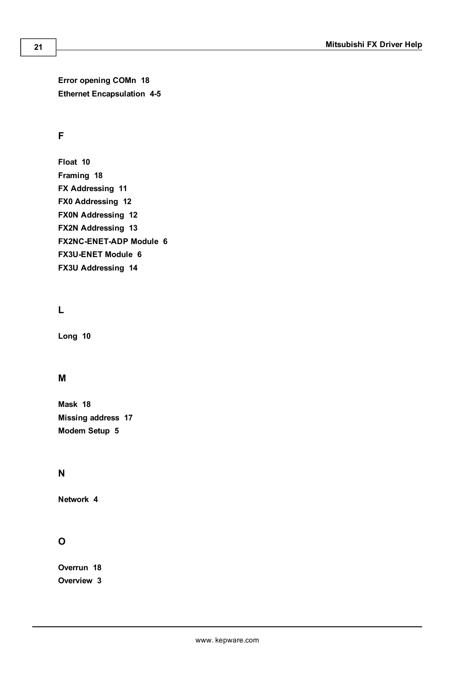**Error opening COMn [18](#page-17-3) Ethernet Encapsulation [4-5](#page-3-2)**

# **F**

**Float [10](#page-9-3) Framing [18](#page-17-5) FX Addressing [11](#page-10-1) FX0 Addressing [12](#page-11-0) FX0N Addressing [12](#page-11-1) FX2N Addressing [13](#page-12-0) FX2NC-ENET-ADP Module [6](#page-5-2) FX3U-ENET Module [6](#page-5-3) FX3U Addressing [14](#page-13-0)**

# **L**

**Long [10](#page-9-4)**

# **M**

**Mask [18](#page-17-0) Missing address [17](#page-16-3) Modem Setup [5](#page-4-0)**

# **N**

**Network [4](#page-3-3)**

# **O**

**Overrun [18](#page-17-6) Overview [3](#page-2-1)**